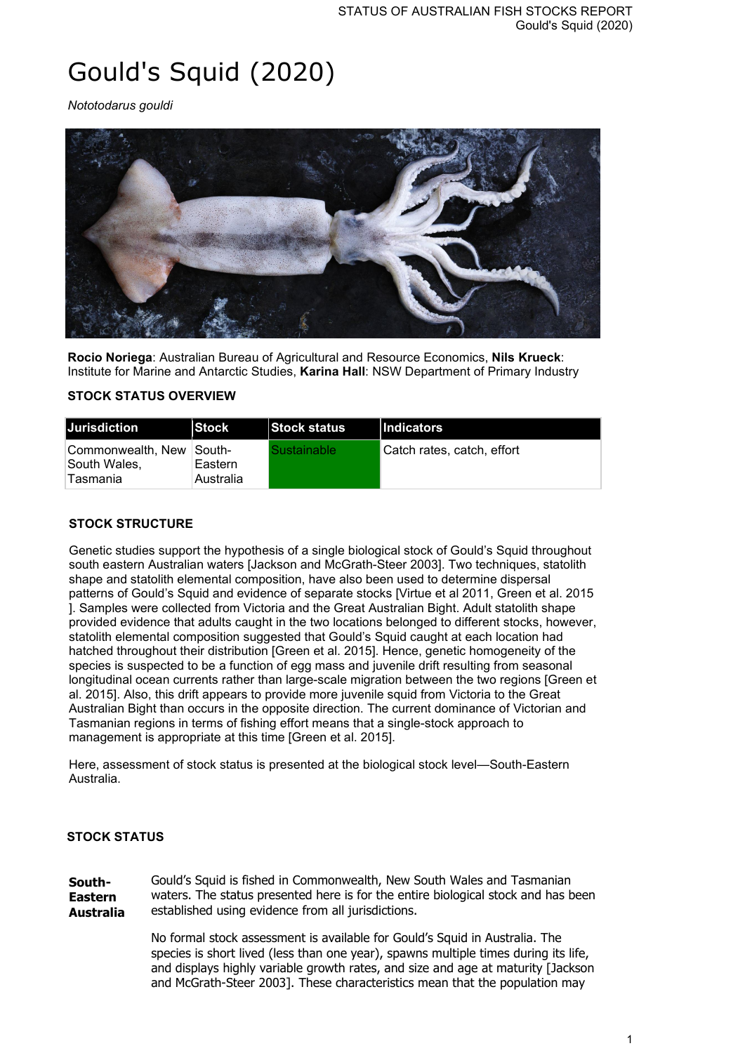# Gould's Squid (2020)

*Nototodarus gouldi*



**Rocio Noriega**: Australian Bureau of Agricultural and Resource Economics, **Nils Krueck**: Institute for Marine and Antarctic Studies, **Karina Hall**: NSW Department of Primary Industry

## **STOCK STATUS OVERVIEW**

| <b>Jurisdiction</b>                                   | <b>Stock</b>         | <b>Stock status</b> | <b>Indicators</b>           |
|-------------------------------------------------------|----------------------|---------------------|-----------------------------|
| Commonwealth. New South-<br>South Wales,<br>∣Tasmania | Eastern<br>Australia | Sustainable         | ∣Catch rates. catch. effort |

## **STOCK STRUCTURE**

Genetic studies support the hypothesis of a single biological stock of Gould's Squid throughout south eastern Australian waters [Jackson and McGrath-Steer 2003]. Two techniques, statolith shape and statolith elemental composition, have also been used to determine dispersal patterns of Gould's Squid and evidence of separate stocks [Virtue et al 2011, Green et al. 2015 ]. Samples were collected from Victoria and the Great Australian Bight. Adult statolith shape provided evidence that adults caught in the two locations belonged to different stocks, however, statolith elemental composition suggested that Gould's Squid caught at each location had hatched throughout their distribution [Green et al. 2015]. Hence, genetic homogeneity of the species is suspected to be a function of egg mass and juvenile drift resulting from seasonal longitudinal ocean currents rather than large-scale migration between the two regions [Green et al. 2015]. Also, this drift appears to provide more juvenile squid from Victoria to the Great Australian Bight than occurs in the opposite direction. The current dominance of Victorian and Tasmanian regions in terms of fishing effort means that a single-stock approach to management is appropriate at this time [Green et al. 2015].

Here, assessment of stock status is presented at the biological stock level—South-Eastern Australia.

#### **STOCK STATUS**

**South-Eastern Australia** Gould's Squid is fished in Commonwealth, New South Wales and Tasmanian waters. The status presented here is for the entire biological stock and has been established using evidence from all jurisdictions.

> No formal stock assessment is available for Gould's Squid in Australia. The species is short lived (less than one year), spawns multiple times during its life, and displays highly variable growth rates, and size and age at maturity [Jackson and McGrath-Steer 2003]. These characteristics mean that the population may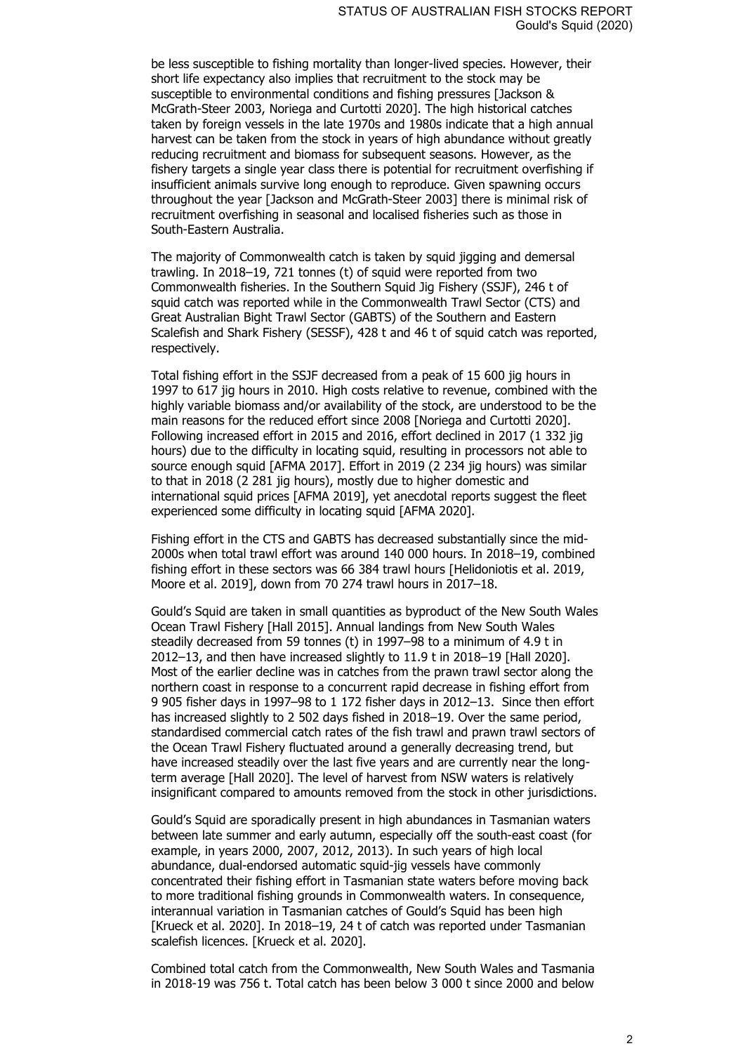be less susceptible to fishing mortality than longer-lived species. However, their short life expectancy also implies that recruitment to the stock may be susceptible to environmental conditions and fishing pressures [Jackson & McGrath-Steer 2003, Noriega and Curtotti 2020]. The high historical catches taken by foreign vessels in the late 1970s and 1980s indicate that a high annual harvest can be taken from the stock in years of high abundance without greatly reducing recruitment and biomass for subsequent seasons. However, as the fishery targets a single year class there is potential for recruitment overfishing if insufficient animals survive long enough to reproduce. Given spawning occurs throughout the year [Jackson and McGrath-Steer 2003] there is minimal risk of recruitment overfishing in seasonal and localised fisheries such as those in South-Eastern Australia.

The majority of Commonwealth catch is taken by squid jigging and demersal trawling. In 2018–19, 721 tonnes (t) of squid were reported from two Commonwealth fisheries. In the Southern Squid Jig Fishery (SSJF), 246 t of squid catch was reported while in the Commonwealth Trawl Sector (CTS) and Great Australian Bight Trawl Sector (GABTS) of the Southern and Eastern Scalefish and Shark Fishery (SESSF), 428 t and 46 t of squid catch was reported, respectively.

Total fishing effort in the SSJF decreased from a peak of 15 600 jig hours in 1997 to 617 jig hours in 2010. High costs relative to revenue, combined with the highly variable biomass and/or availability of the stock, are understood to be the main reasons for the reduced effort since 2008 [Noriega and Curtotti 2020]. Following increased effort in 2015 and 2016, effort declined in 2017 (1 332 jig hours) due to the difficulty in locating squid, resulting in processors not able to source enough squid [AFMA 2017]. Effort in 2019 (2 234 jig hours) was similar to that in 2018 (2 281 jig hours), mostly due to higher domestic and international squid prices [AFMA 2019], yet anecdotal reports suggest the fleet experienced some difficulty in locating squid [AFMA 2020].

Fishing effort in the CTS and GABTS has decreased substantially since the mid-2000s when total trawl effort was around 140 000 hours. In 2018–19, combined fishing effort in these sectors was 66 384 trawl hours [Helidoniotis et al. 2019, Moore et al. 2019], down from 70 274 trawl hours in 2017–18.

Gould's Squid are taken in small quantities as byproduct of the New South Wales Ocean Trawl Fishery [Hall 2015]. Annual landings from New South Wales steadily decreased from 59 tonnes (t) in 1997–98 to a minimum of 4.9 t in 2012–13, and then have increased slightly to 11.9 t in 2018–19 [Hall 2020]. Most of the earlier decline was in catches from the prawn trawl sector along the northern coast in response to a concurrent rapid decrease in fishing effort from 9 905 fisher days in 1997–98 to 1 172 fisher days in 2012–13. Since then effort has increased slightly to 2 502 days fished in 2018–19. Over the same period, standardised commercial catch rates of the fish trawl and prawn trawl sectors of the Ocean Trawl Fishery fluctuated around a generally decreasing trend, but have increased steadily over the last five years and are currently near the longterm average [Hall 2020]. The level of harvest from NSW waters is relatively insignificant compared to amounts removed from the stock in other jurisdictions.

Gould's Squid are sporadically present in high abundances in Tasmanian waters between late summer and early autumn, especially off the south-east coast (for example, in years 2000, 2007, 2012, 2013). In such years of high local abundance, dual-endorsed automatic squid-jig vessels have commonly concentrated their fishing effort in Tasmanian state waters before moving back to more traditional fishing grounds in Commonwealth waters. In consequence, interannual variation in Tasmanian catches of Gould's Squid has been high [Krueck et al. 2020]. In 2018–19, 24 t of catch was reported under Tasmanian scalefish licences. [Krueck et al. 2020].

Combined total catch from the Commonwealth, New South Wales and Tasmania in 2018-19 was 756 t. Total catch has been below 3 000 t since 2000 and below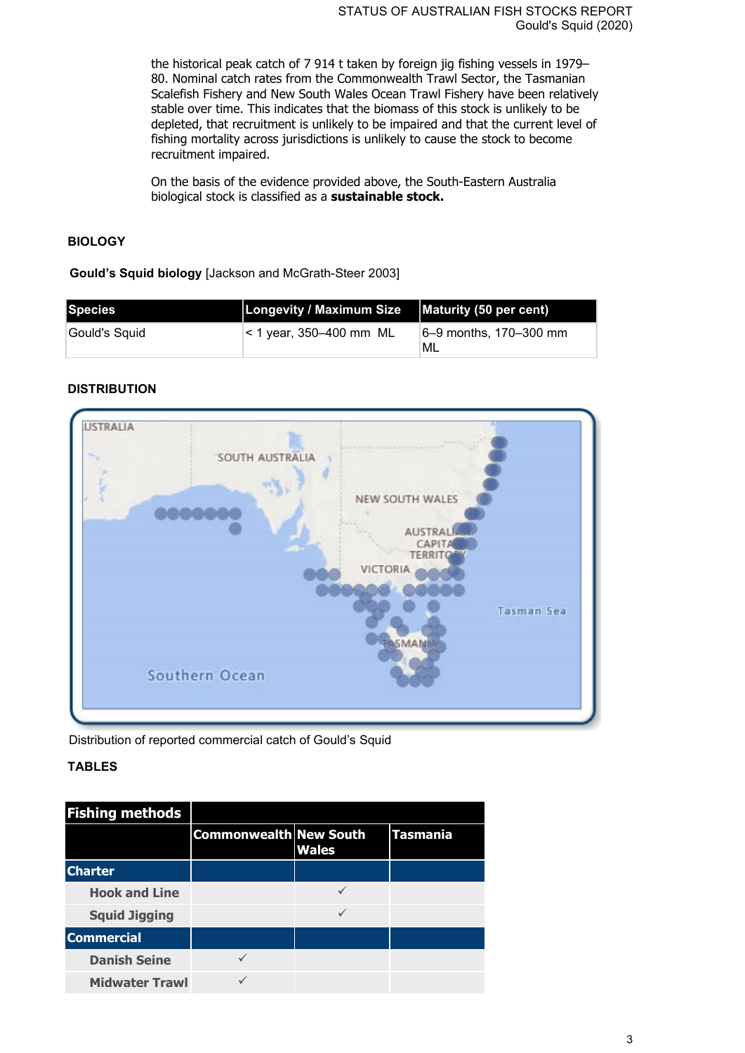the historical peak catch of 7 914 t taken by foreign jig fishing vessels in 1979– 80. Nominal catch rates from the Commonwealth Trawl Sector, the Tasmanian Scalefish Fishery and New South Wales Ocean Trawl Fishery have been relatively stable over time. This indicates that the biomass of this stock is unlikely to be depleted, that recruitment is unlikely to be impaired and that the current level of fishing mortality across jurisdictions is unlikely to cause the stock to become recruitment impaired.

On the basis of the evidence provided above, the South-Eastern Australia biological stock is classified as a **sustainable stock.**

# **BIOLOGY**

**Gould's Squid biology** [Jackson and McGrath-Steer 2003]

| <b>Species</b> | Longevity / Maximum Size   Maturity (50 per cent) |                              |
|----------------|---------------------------------------------------|------------------------------|
| Gould's Squid  | $ $ < 1 year, 350–400 mm ML                       | 6–9 months, 170–300 mm<br>ML |

# **DISTRIBUTION**



Distribution of reported commercial catch of Gould's Squid

## **TABLES**

| <b>Fishing methods</b> |                               |              |          |
|------------------------|-------------------------------|--------------|----------|
|                        | <b>Commonwealth New South</b> | <b>Wales</b> | Tasmania |
| <b>Charter</b>         |                               |              |          |
| <b>Hook and Line</b>   |                               |              |          |
| <b>Squid Jigging</b>   |                               |              |          |
| <b>Commercial</b>      |                               |              |          |
| <b>Danish Seine</b>    |                               |              |          |
| <b>Midwater Trawl</b>  |                               |              |          |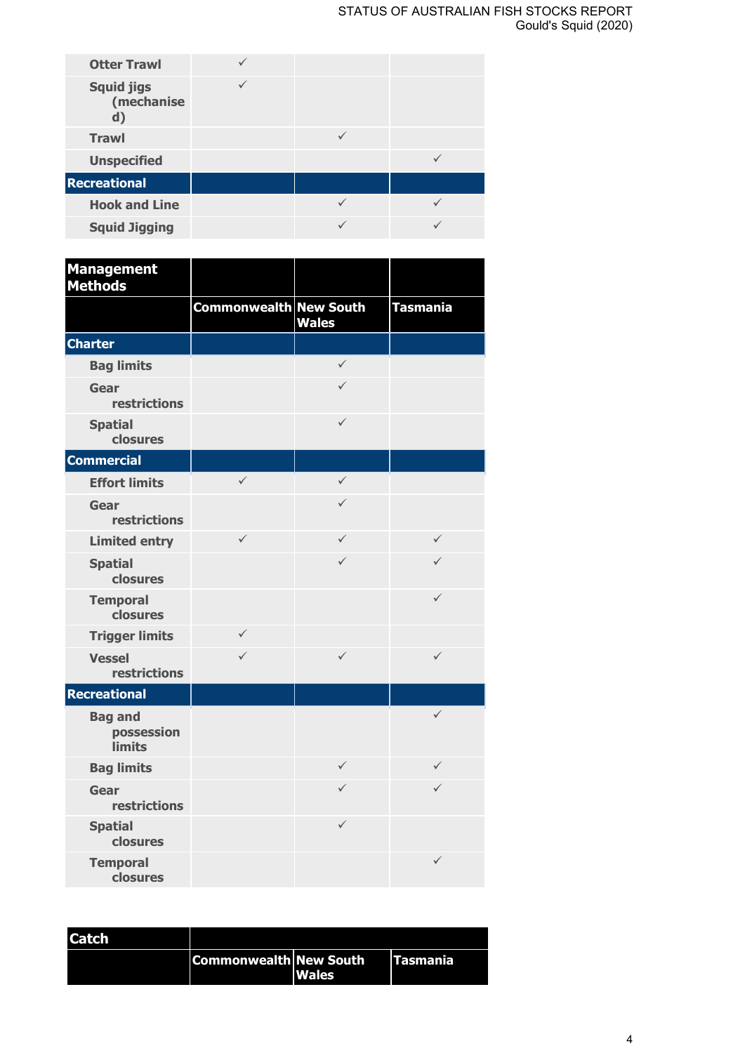| <b>Otter Trawl</b>                    |  |  |
|---------------------------------------|--|--|
| <b>Squid jigs</b><br>(mechanise<br>d) |  |  |
| <b>Trawl</b>                          |  |  |
| <b>Unspecified</b>                    |  |  |
| <b>Recreational</b>                   |  |  |
| <b>Hook and Line</b>                  |  |  |
| <b>Squid Jigging</b>                  |  |  |

| <b>Management</b><br><b>Methods</b>           |                               |              |                 |
|-----------------------------------------------|-------------------------------|--------------|-----------------|
|                                               | <b>Commonwealth New South</b> | <b>Wales</b> | <b>Tasmania</b> |
| <b>Charter</b>                                |                               |              |                 |
| <b>Bag limits</b>                             |                               | $\checkmark$ |                 |
| Gear<br>restrictions                          |                               | $\checkmark$ |                 |
| <b>Spatial</b><br>closures                    |                               | $\checkmark$ |                 |
| <b>Commercial</b>                             |                               |              |                 |
| <b>Effort limits</b>                          | $\checkmark$                  | $\checkmark$ |                 |
| Gear<br>restrictions                          |                               | $\checkmark$ |                 |
| <b>Limited entry</b>                          | $\checkmark$                  | $\checkmark$ | $\checkmark$    |
| <b>Spatial</b><br>closures                    |                               | $\checkmark$ | $\checkmark$    |
| <b>Temporal</b><br>closures                   |                               |              | $\checkmark$    |
| <b>Trigger limits</b>                         | $\checkmark$                  |              |                 |
| <b>Vessel</b><br>restrictions                 | $\checkmark$                  | $\checkmark$ | $\checkmark$    |
| <b>Recreational</b>                           |                               |              |                 |
| <b>Bag and</b><br>possession<br><b>limits</b> |                               |              | $\checkmark$    |
| <b>Bag limits</b>                             |                               | $\checkmark$ | $\checkmark$    |
| Gear<br>restrictions                          |                               | $\checkmark$ | ✓               |
| <b>Spatial</b><br>closures                    |                               | $\checkmark$ |                 |
| <b>Temporal</b><br>closures                   |                               |              | $\checkmark$    |

| <b>Catch</b> |                               |              |                  |
|--------------|-------------------------------|--------------|------------------|
|              | <b>Commonwealth New South</b> | <b>Wales</b> | <b>ITasmania</b> |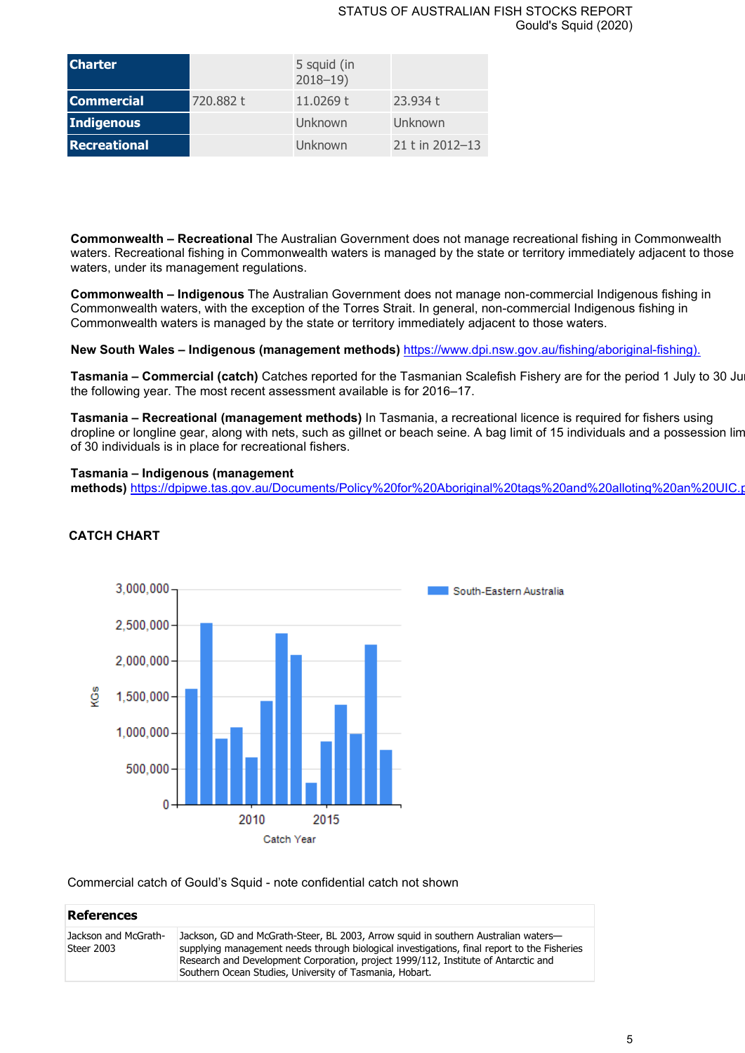#### STATUS OF AUSTRALIAN FISH STOCKS REPORT Gould's Squid (2020)

| <b>Charter</b>    |           | 5 squid (in<br>$2018 - 19$ |                 |
|-------------------|-----------|----------------------------|-----------------|
| <b>Commercial</b> | 720.882 t | 11.0269 t                  | 23.934 t        |
| <b>Indigenous</b> |           | Unknown                    | Unknown         |
| Recreational      |           | Unknown                    | 21 t in 2012-13 |

**Commonwealth – Recreational** The Australian Government does not manage recreational fishing in Commonwealth waters. Recreational fishing in Commonwealth waters is managed by the state or territory immediately adjacent to those waters, under its management regulations.

**Commonwealth – Indigenous** The Australian Government does not manage non-commercial Indigenous fishing in Commonwealth waters, with the exception of the Torres Strait. In general, non-commercial Indigenous fishing in Commonwealth waters is managed by the state or territory immediately adjacent to those waters.

**New South Wales – Indigenous (management methods)** [https://www.dpi.nsw.gov.au/fishing/aboriginal-fishing\).](https://www.dpi.nsw.gov.au/fishing/aboriginal-fishing)

**Tasmania – Commercial (catch)** Catches reported for the Tasmanian Scalefish Fishery are for the period 1 July to 30 Jun the following year. The most recent assessment available is for 2016–17.

**Tasmania – Recreational (management methods)** In Tasmania, a recreational licence is required for fishers using dropline or longline gear, along with nets, such as gillnet or beach seine. A bag limit of 15 individuals and a possession lim of 30 individuals is in place for recreational fishers.

## **Tasmania – Indigenous (management**

**methods)** [https://dpipwe.tas.gov.au/Documents/Policy%20for%20Aboriginal%20tags%20and%20alloting%20an%20UIC.p](https://dpipwe.tas.gov.au/Documents/Policy%20for%20Aboriginal%20tags%20and%20alloting%20an%20UIC.pdf)ublic



## **CATCH CHART**

Commercial catch of Gould's Squid - note confidential catch not shown

| <b>References</b>                  |                                                                                                                                                                                                                                                                                                                                    |
|------------------------------------|------------------------------------------------------------------------------------------------------------------------------------------------------------------------------------------------------------------------------------------------------------------------------------------------------------------------------------|
| Jackson and McGrath-<br>Steer 2003 | Jackson, GD and McGrath-Steer, BL 2003, Arrow squid in southern Australian waters-<br>supplying management needs through biological investigations, final report to the Fisheries<br>Research and Development Corporation, project 1999/112, Institute of Antarctic and<br>Southern Ocean Studies, University of Tasmania, Hobart. |